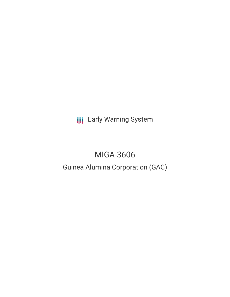**III** Early Warning System

# MIGA-3606

# Guinea Alumina Corporation (GAC)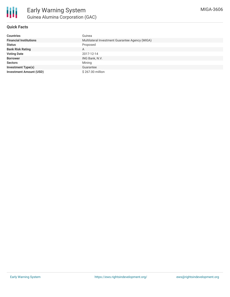

# **Quick Facts**

| <b>Countries</b>               | Guinea                                          |
|--------------------------------|-------------------------------------------------|
| <b>Financial Institutions</b>  | Multilateral Investment Guarantee Agency (MIGA) |
| <b>Status</b>                  | Proposed                                        |
| <b>Bank Risk Rating</b>        | A                                               |
| <b>Voting Date</b>             | 2017-12-14                                      |
| <b>Borrower</b>                | ING Bank, N.V.                                  |
| <b>Sectors</b>                 | Mining                                          |
| <b>Investment Type(s)</b>      | Guarantee                                       |
| <b>Investment Amount (USD)</b> | \$267.00 million                                |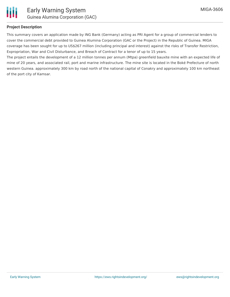

## **Project Description**

This summary covers an application made by ING Bank (Germany) acting as PRI Agent for a group of commercial lenders to cover the commercial debt provided to Guinea Alumina Corporation (GAC or the Project) in the Republic of Guinea. MIGA coverage has been sought for up to US\$267 million (including principal and interest) against the risks of Transfer Restriction, Expropriation, War and Civil Disturbance, and Breach of Contract for a tenor of up to 15 years.

The project entails the development of a 12 million tonnes per annum (Mtpa) greenfield bauxite mine with an expected life of mine of 20 years, and associated rail, port and marine infrastructure. The mine site is located in the Boké Prefecture of north western Guinea. approximately 300 km by road north of the national capital of Conakry and approximately 100 km northeast of the port city of Kamsar.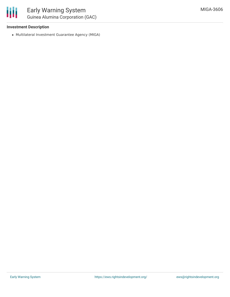#### **Investment Description**

Multilateral Investment Guarantee Agency (MIGA)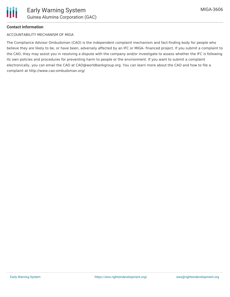

## **Contact Information**

#### ACCOUNTABILITY MECHANISM OF MIGA

The Compliance Advisor Ombudsman (CAO) is the independent complaint mechanism and fact-finding body for people who believe they are likely to be, or have been, adversely affected by an IFC or MIGA- financed project. If you submit a complaint to the CAO, they may assist you in resolving a dispute with the company and/or investigate to assess whether the IFC is following its own policies and procedures for preventing harm to people or the environment. If you want to submit a complaint electronically, you can email the CAO at CAO@worldbankgroup.org. You can learn more about the CAO and how to file a complaint at http://www.cao-ombudsman.org/